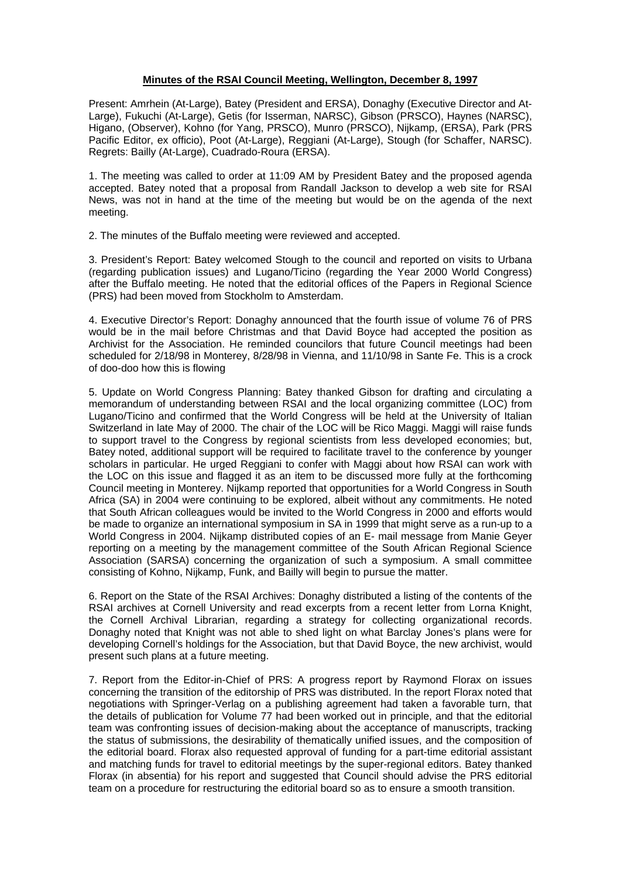## **Minutes of the RSAI Council Meeting, Wellington, December 8, 1997**

Present: Amrhein (At-Large), Batey (President and ERSA), Donaghy (Executive Director and At-Large), Fukuchi (At-Large), Getis (for Isserman, NARSC), Gibson (PRSCO), Haynes (NARSC), Higano, (Observer), Kohno (for Yang, PRSCO), Munro (PRSCO), Nijkamp, (ERSA), Park (PRS Pacific Editor, ex officio), Poot (At-Large), Reggiani (At-Large), Stough (for Schaffer, NARSC). Regrets: Bailly (At-Large), Cuadrado-Roura (ERSA).

1. The meeting was called to order at 11:09 AM by President Batey and the proposed agenda accepted. Batey noted that a proposal from Randall Jackson to develop a web site for RSAI News, was not in hand at the time of the meeting but would be on the agenda of the next meeting.

2. The minutes of the Buffalo meeting were reviewed and accepted.

3. President's Report: Batey welcomed Stough to the council and reported on visits to Urbana (regarding publication issues) and Lugano/Ticino (regarding the Year 2000 World Congress) after the Buffalo meeting. He noted that the editorial offices of the Papers in Regional Science (PRS) had been moved from Stockholm to Amsterdam.

4. Executive Director's Report: Donaghy announced that the fourth issue of volume 76 of PRS would be in the mail before Christmas and that David Boyce had accepted the position as Archivist for the Association. He reminded councilors that future Council meetings had been scheduled for 2/18/98 in Monterey, 8/28/98 in Vienna, and 11/10/98 in Sante Fe. This is a crock of doo-doo how this is flowing

5. Update on World Congress Planning: Batey thanked Gibson for drafting and circulating a memorandum of understanding between RSAI and the local organizing committee (LOC) from Lugano/Ticino and confirmed that the World Congress will be held at the University of Italian Switzerland in late May of 2000. The chair of the LOC will be Rico Maggi. Maggi will raise funds to support travel to the Congress by regional scientists from less developed economies; but, Batey noted, additional support will be required to facilitate travel to the conference by younger scholars in particular. He urged Reggiani to confer with Maggi about how RSAI can work with the LOC on this issue and flagged it as an item to be discussed more fully at the forthcoming Council meeting in Monterey. Nijkamp reported that opportunities for a World Congress in South Africa (SA) in 2004 were continuing to be explored, albeit without any commitments. He noted that South African colleagues would be invited to the World Congress in 2000 and efforts would be made to organize an international symposium in SA in 1999 that might serve as a run-up to a World Congress in 2004. Nijkamp distributed copies of an E- mail message from Manie Geyer reporting on a meeting by the management committee of the South African Regional Science Association (SARSA) concerning the organization of such a symposium. A small committee consisting of Kohno, Nijkamp, Funk, and Bailly will begin to pursue the matter.

6. Report on the State of the RSAI Archives: Donaghy distributed a listing of the contents of the RSAI archives at Cornell University and read excerpts from a recent letter from Lorna Knight, the Cornell Archival Librarian, regarding a strategy for collecting organizational records. Donaghy noted that Knight was not able to shed light on what Barclay Jones's plans were for developing Cornell's holdings for the Association, but that David Boyce, the new archivist, would present such plans at a future meeting.

7. Report from the Editor-in-Chief of PRS: A progress report by Raymond Florax on issues concerning the transition of the editorship of PRS was distributed. In the report Florax noted that negotiations with Springer-Verlag on a publishing agreement had taken a favorable turn, that the details of publication for Volume 77 had been worked out in principle, and that the editorial team was confronting issues of decision-making about the acceptance of manuscripts, tracking the status of submissions, the desirability of thematically unified issues, and the composition of the editorial board. Florax also requested approval of funding for a part-time editorial assistant and matching funds for travel to editorial meetings by the super-regional editors. Batey thanked Florax (in absentia) for his report and suggested that Council should advise the PRS editorial team on a procedure for restructuring the editorial board so as to ensure a smooth transition.